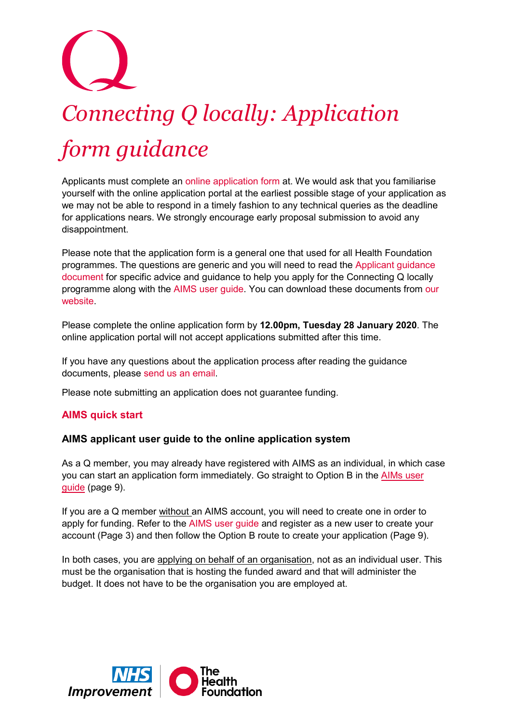# *Connecting Q locally: Application form guidance*

Applicants must complete an [online application form](http://www.aims.health.org.uk/) at. We would ask that you familiarise yourself with the online application portal at the earliest possible stage of your application as we may not be able to respond in a timely fashion to any technical queries as the deadline for applications nears. We strongly encourage early proposal submission to avoid any disappointment.

Please note that the application form is a general one that used for all Health Foundation programmes. The questions are generic and you will need to read the [Applicant guidance](https://q.health.org.uk/wp-content/uploads/2018/12/Connecting-Q-locally-applicant-guidance-doc.pdf)  [document](https://q.health.org.uk/wp-content/uploads/2018/12/Connecting-Q-locally-applicant-guidance-doc.pdf) for specific advice and guidance to help you apply for the Connecting Q locally programme along with the [AIMS user guide.](https://www.health.org.uk/sites/default/files/2018-11/aims-applicant-user-guide-v5.0.pdf) You can download these documents from [our](https://q.health.org.uk/community/q-in-your-area/connecting-q-locally)  [website.](https://q.health.org.uk/community/q-in-your-area/connecting-q-locally)

Please complete the online application form by **12.00pm, Tuesday 28 January 2020**. The online application portal will not accept applications submitted after this time.

If you have any questions about the application process after reading the guidance documents, please [send us an email.](mailto:Q@health.org.uk)

Please note submitting an application does not guarantee funding.

# **AIMS quick start**

# **AIMS applicant user guide to the online application system**

As a Q member, you may already have registered with AIMS as an individual, in which case you can start an application form immediately. Go straight to Option B in the [AIMs user](https://www.health.org.uk/sites/default/files/2018-11/aims-applicant-user-guide-v5.0.pdf)  [guide](https://www.health.org.uk/sites/default/files/2018-11/aims-applicant-user-guide-v5.0.pdf) (page 9).

If you are a Q member without an AIMS account, you will need to create one in order to apply for funding. Refer to the AIMS [user guide](https://www.health.org.uk/sites/default/files/2018-11/aims-applicant-user-guide-v5.0.pdf) and register as a new user to create your account (Page 3) and then follow the Option B route to create your application (Page 9).

In both cases, you are applying on behalf of an organisation, not as an individual user. This must be the organisation that is hosting the funded award and that will administer the budget. It does not have to be the organisation you are employed at.

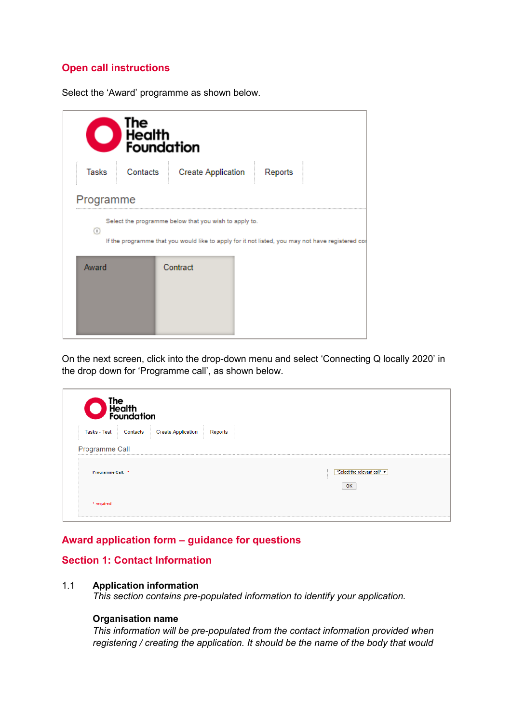# **Open call instructions**

Select the 'Award' programme as shown below.

| The<br>BHealth<br>Foundation |          |                                                                                                                                                          |         |  |  |
|------------------------------|----------|----------------------------------------------------------------------------------------------------------------------------------------------------------|---------|--|--|
| Tasks                        | Contacts | <b>Create Application</b>                                                                                                                                | Reports |  |  |
| Programme                    |          |                                                                                                                                                          |         |  |  |
| (i)                          |          | Select the programme below that you wish to apply to.<br>If the programme that you would like to apply for it not listed, you may not have registered co |         |  |  |
| Award                        |          | Contract                                                                                                                                                 |         |  |  |

On the next screen, click into the drop-down menu and select 'Connecting Q locally 2020' in the drop down for 'Programme call', as shown below.

| The<br>Health<br>Foundation                        |                                                 |  |  |  |
|----------------------------------------------------|-------------------------------------------------|--|--|--|
| Contacts Create Application<br><b>Tasks - Test</b> | Reports                                         |  |  |  |
| Programme Call                                     |                                                 |  |  |  |
| Programme Call: *                                  | *Select the relevant call* $\blacktriangledown$ |  |  |  |
| * required                                         | OK                                              |  |  |  |

# **Award application form – guidance for questions**

# **Section 1: Contact Information**

#### 1.1 **Application information**

*This section contains pre-populated information to identify your application.*

#### **Organisation name**

*This information will be pre-populated from the contact information provided when registering / creating the application. It should be the name of the body that would*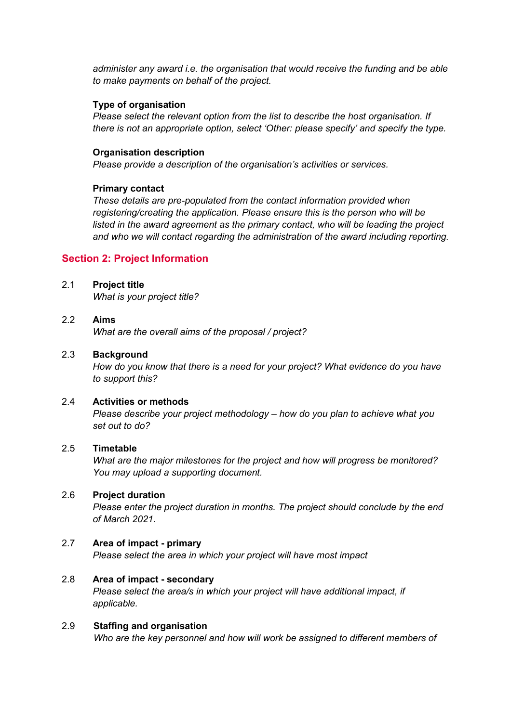*administer any award i.e. the organisation that would receive the funding and be able to make payments on behalf of the project.*

#### **Type of organisation**

*Please select the relevant option from the list to describe the host organisation. If there is not an appropriate option, select 'Other: please specify' and specify the type.*

#### **Organisation description**

*Please provide a description of the organisation's activities or services.* 

#### **Primary contact**

*These details are pre-populated from the contact information provided when registering/creating the application. Please ensure this is the person who will be*  listed in the award agreement as the primary contact, who will be leading the project *and who we will contact regarding the administration of the award including reporting.*

# **Section 2: Project Information**

#### 2.1 **Project title**

*What is your project title?* 

### 2.2 **Aims**

*What are the overall aims of the proposal / project?*

## 2.3 **Background**

*How do you know that there is a need for your project? What evidence do you have to support this?*

## 2.4 **Activities or methods**

*Please describe your project methodology – how do you plan to achieve what you set out to do?*

#### 2.5 **Timetable**

*What are the major milestones for the project and how will progress be monitored? You may upload a supporting document.* 

### 2.6 **Project duration**

*Please enter the project duration in months. The project should conclude by the end of March 2021.*

# 2.7 **Area of impact - primary**

*Please select the area in which your project will have most impact* 

# 2.8 **Area of impact - secondary**

*Please select the area/s in which your project will have additional impact, if applicable.*

#### 2.9 **Staffing and organisation** *Who are the key personnel and how will work be assigned to different members of*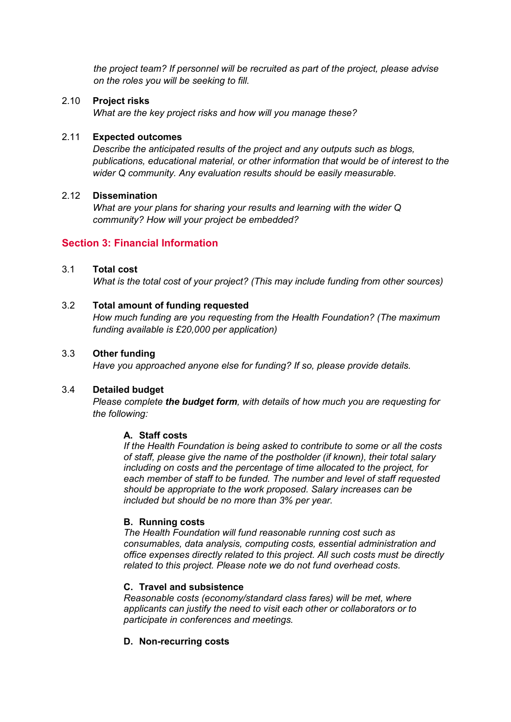*the project team? If personnel will be recruited as part of the project, please advise on the roles you will be seeking to fill.*

# 2.10 **Project risks**

*What are the key project risks and how will you manage these?*

## 2.11 **Expected outcomes**

*Describe the anticipated results of the project and any outputs such as blogs, publications, educational material, or other information that would be of interest to the wider Q community. Any evaluation results should be easily measurable.*

#### 2.12 **Dissemination**

*What are your plans for sharing your results and learning with the wider Q community? How will your project be embedded?*

# **Section 3: Financial Information**

# 3.1 **Total cost**

*What is the total cost of your project? (This may include funding from other sources)*

## 3.2 **Total amount of funding requested**

*How much funding are you requesting from the Health Foundation? (The maximum funding available is £20,000 per application)*

# 3.3 **Other funding**

*Have you approached anyone else for funding? If so, please provide details.*

# 3.4 **Detailed budget**

*Please complete the budget form, with details of how much you are requesting for the following:*

#### **A. Staff costs**

*If the Health Foundation is being asked to contribute to some or all the costs of staff, please give the name of the postholder (if known), their total salary including on costs and the percentage of time allocated to the project, for each member of staff to be funded. The number and level of staff requested should be appropriate to the work proposed. Salary increases can be included but should be no more than 3% per year.* 

#### **B. Running costs**

*The Health Foundation will fund reasonable running cost such as consumables, data analysis, computing costs, essential administration and office expenses directly related to this project. All such costs must be directly related to this project. Please note we do not fund overhead costs.*

#### **C. Travel and subsistence**

*Reasonable costs (economy/standard class fares) will be met, where applicants can justify the need to visit each other or collaborators or to participate in conferences and meetings.* 

# **D. Non-recurring costs**